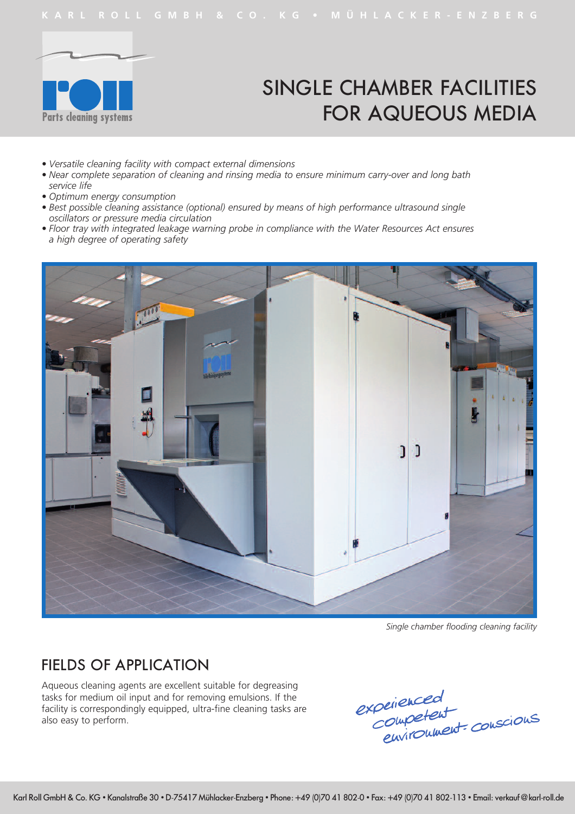

# SINGLE CHAMBER FACILITIES FOR AQUEOUS MEDIA

- *• Versatile cleaning facility with compact external dimensions*
- *• Near complete separation of cleaning and rinsing media to ensure minimum carry-over and long bath service life*
- *• Optimum energy consumption*
- *• Best possible cleaning assistance (optional) ensured by means of high performance ultrasound single oscillators or pressure media circulation*
- *• Floor tray with integrated leakage warning probe in compliance with the Water Resources Act ensures a high degree of operating safety*



 *Single chamber flooding cleaning facility*

### FIELDS OF APPLICATION

Aqueous cleaning agents are excellent suitable for degreasing tasks for medium oil input and for removing emulsions. If the facility is correspondingly equipped, ultra-fine cleaning tasks are also easy to perform.

experienced<br>Competent<br>environment conscions